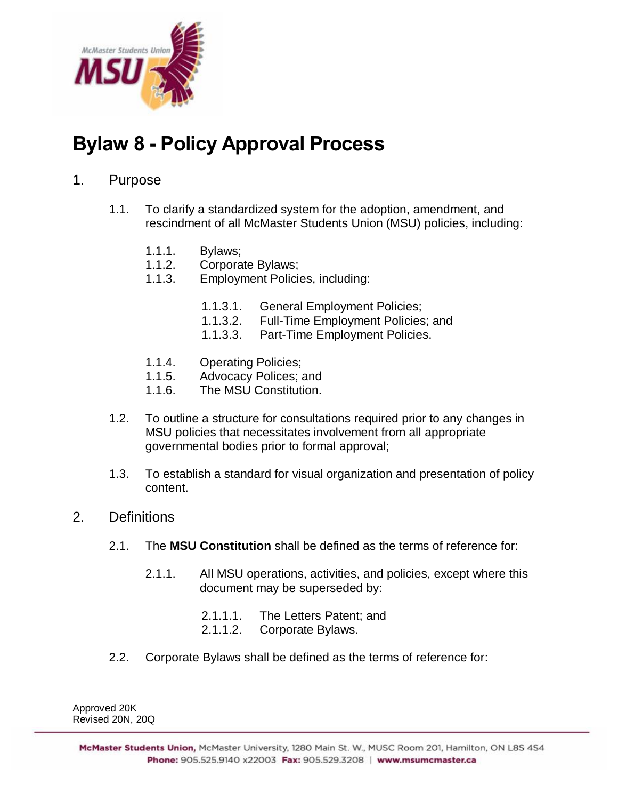

# **Bylaw 8 - Policy Approval Process**

## 1. Purpose

- 1.1. To clarify a standardized system for the adoption, amendment, and rescindment of all McMaster Students Union (MSU) policies, including:
	- 1.1.1. Bylaws;
	- 1.1.2. Corporate Bylaws;
	- 1.1.3. Employment Policies, including:
		- 1.1.3.1. General Employment Policies;
		- 1.1.3.2. Full-Time Employment Policies; and
		- 1.1.3.3. Part-Time Employment Policies.
	- 1.1.4. Operating Policies;
	- 1.1.5. Advocacy Polices; and
	- 1.1.6. The MSU Constitution.
- 1.2. To outline a structure for consultations required prior to any changes in MSU policies that necessitates involvement from all appropriate governmental bodies prior to formal approval;
- 1.3. To establish a standard for visual organization and presentation of policy content.
- 2. Definitions
	- 2.1. The **MSU Constitution** shall be defined as the terms of reference for:
		- 2.1.1. All MSU operations, activities, and policies, except where this document may be superseded by:
			- 2.1.1.1. The Letters Patent; and
			- 2.1.1.2. Corporate Bylaws.
	- 2.2. Corporate Bylaws shall be defined as the terms of reference for:

Approved 20K Revised 20N, 20Q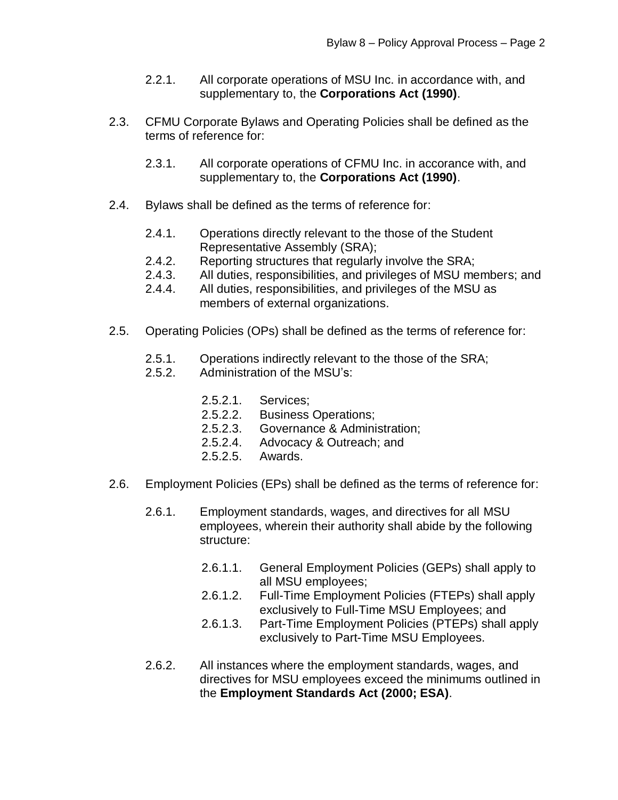- 2.2.1. All corporate operations of MSU Inc. in accordance with, and supplementary to, the **Corporations Act (1990)**.
- 2.3. CFMU Corporate Bylaws and Operating Policies shall be defined as the terms of reference for:
	- 2.3.1. All corporate operations of CFMU Inc. in accorance with, and supplementary to, the **Corporations Act (1990)**.
- 2.4. Bylaws shall be defined as the terms of reference for:
	- 2.4.1. Operations directly relevant to the those of the Student Representative Assembly (SRA);
	- 2.4.2. Reporting structures that regularly involve the SRA;
	- 2.4.3. All duties, responsibilities, and privileges of MSU members; and
	- 2.4.4. All duties, responsibilities, and privileges of the MSU as members of external organizations.
- 2.5. Operating Policies (OPs) shall be defined as the terms of reference for:
	- 2.5.1. Operations indirectly relevant to the those of the SRA;
	- 2.5.2. Administration of the MSU's:
		- 2.5.2.1. Services;
		- 2.5.2.2. Business Operations;
		- 2.5.2.3. Governance & Administration;
		- 2.5.2.4. Advocacy & Outreach; and
		- 2.5.2.5. Awards.
- 2.6. Employment Policies (EPs) shall be defined as the terms of reference for:
	- 2.6.1. Employment standards, wages, and directives for all MSU employees, wherein their authority shall abide by the following structure:
		- 2.6.1.1. General Employment Policies (GEPs) shall apply to all MSU employees;
		- 2.6.1.2. Full-Time Employment Policies (FTEPs) shall apply exclusively to Full-Time MSU Employees; and
		- 2.6.1.3. Part-Time Employment Policies (PTEPs) shall apply exclusively to Part-Time MSU Employees.
	- 2.6.2. All instances where the employment standards, wages, and directives for MSU employees exceed the minimums outlined in the **Employment Standards Act (2000; ESA)**.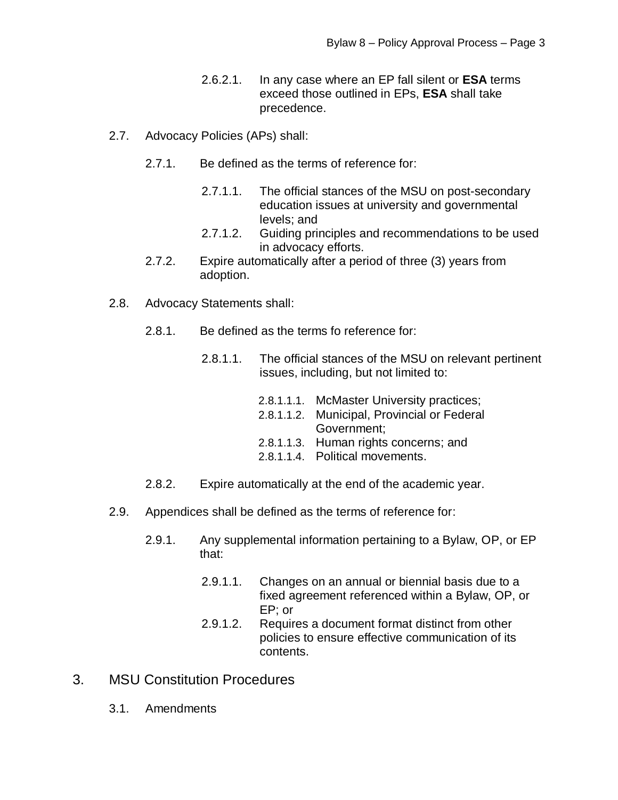- 2.6.2.1. In any case where an EP fall silent or **ESA** terms exceed those outlined in EPs, **ESA** shall take precedence.
- 2.7. Advocacy Policies (APs) shall:
	- 2.7.1. Be defined as the terms of reference for:
		- 2.7.1.1. The official stances of the MSU on post-secondary education issues at university and governmental levels; and
		- 2.7.1.2. Guiding principles and recommendations to be used in advocacy efforts.
	- 2.7.2. Expire automatically after a period of three (3) years from adoption.
- 2.8. Advocacy Statements shall:
	- 2.8.1. Be defined as the terms fo reference for:
		- 2.8.1.1. The official stances of the MSU on relevant pertinent issues, including, but not limited to:

| 2.8.1.1.1. McMaster University practices;   |
|---------------------------------------------|
| 2.8.1.1.2. Municipal, Provincial or Federal |
| Government:                                 |
| 2.8.1.1.3. Human rights concerns; and       |
| 2.8.1.1.4. Political movements.             |
|                                             |

- 2.8.2. Expire automatically at the end of the academic year.
- 2.9. Appendices shall be defined as the terms of reference for:
	- 2.9.1. Any supplemental information pertaining to a Bylaw, OP, or EP that:
		- 2.9.1.1. Changes on an annual or biennial basis due to a fixed agreement referenced within a Bylaw, OP, or EP; or
		- 2.9.1.2. Requires a document format distinct from other policies to ensure effective communication of its contents.
- 3. MSU Constitution Procedures
	- 3.1. Amendments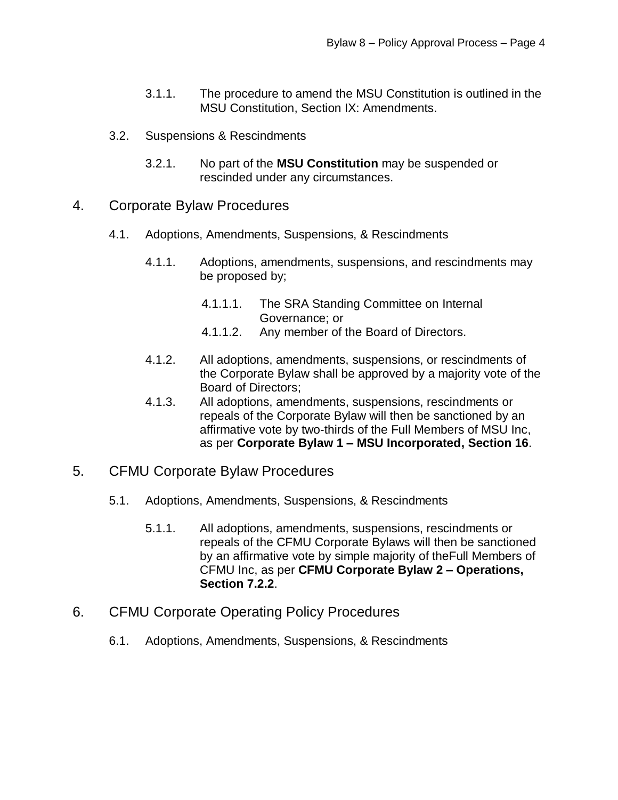- 3.1.1. The procedure to amend the MSU Constitution is outlined in the MSU Constitution, Section IX: Amendments.
- 3.2. Suspensions & Rescindments
	- 3.2.1. No part of the **MSU Constitution** may be suspended or rescinded under any circumstances.
- 4. Corporate Bylaw Procedures
	- 4.1. Adoptions, Amendments, Suspensions, & Rescindments
		- 4.1.1. Adoptions, amendments, suspensions, and rescindments may be proposed by;
			- 4.1.1.1. The SRA Standing Committee on Internal Governance; or
			- 4.1.1.2. Any member of the Board of Directors.
		- 4.1.2. All adoptions, amendments, suspensions, or rescindments of the Corporate Bylaw shall be approved by a majority vote of the Board of Directors;
		- 4.1.3. All adoptions, amendments, suspensions, rescindments or repeals of the Corporate Bylaw will then be sanctioned by an affirmative vote by two-thirds of the Full Members of MSU Inc, as per **Corporate Bylaw 1 – MSU Incorporated, Section 16**.
- 5. CFMU Corporate Bylaw Procedures
	- 5.1. Adoptions, Amendments, Suspensions, & Rescindments
		- 5.1.1. All adoptions, amendments, suspensions, rescindments or repeals of the CFMU Corporate Bylaws will then be sanctioned by an affirmative vote by simple majority of theFull Members of CFMU Inc, as per **CFMU Corporate Bylaw 2 – Operations, Section 7.2.2**.
- 6. CFMU Corporate Operating Policy Procedures
	- 6.1. Adoptions, Amendments, Suspensions, & Rescindments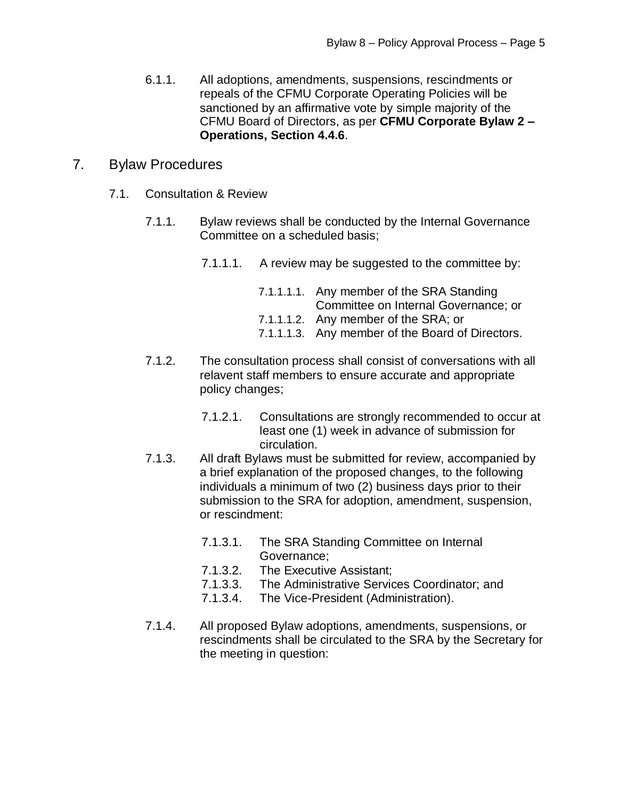6.1.1. All adoptions, amendments, suspensions, rescindments or repeals of the CFMU Corporate Operating Policies will be sanctioned by an affirmative vote by simple majority of the CFMU Board of Directors, as per **CFMU Corporate Bylaw 2 – Operations, Section 4.4.6**.

## 7. Bylaw Procedures

- 7.1. Consultation & Review
	- 7.1.1. Bylaw reviews shall be conducted by the Internal Governance Committee on a scheduled basis;
		- 7.1.1.1. A review may be suggested to the committee by:

| 7.1.1.1.1. Any member of the SRA Standing        |
|--------------------------------------------------|
| Committee on Internal Governance; or             |
| 7.1.1.1.2. Any member of the SRA; or             |
| 7.1.1.1.3. Any member of the Board of Directors. |

- 7.1.2. The consultation process shall consist of conversations with all relavent staff members to ensure accurate and appropriate policy changes;
	- 7.1.2.1. Consultations are strongly recommended to occur at least one (1) week in advance of submission for circulation.
- 7.1.3. All draft Bylaws must be submitted for review, accompanied by a brief explanation of the proposed changes, to the following individuals a minimum of two (2) business days prior to their submission to the SRA for adoption, amendment, suspension, or rescindment:
	- 7.1.3.1. The SRA Standing Committee on Internal Governance;
	- 7.1.3.2. The Executive Assistant;
	- 7.1.3.3. The Administrative Services Coordinator; and
	- 7.1.3.4. The Vice-President (Administration).
- 7.1.4. All proposed Bylaw adoptions, amendments, suspensions, or rescindments shall be circulated to the SRA by the Secretary for the meeting in question: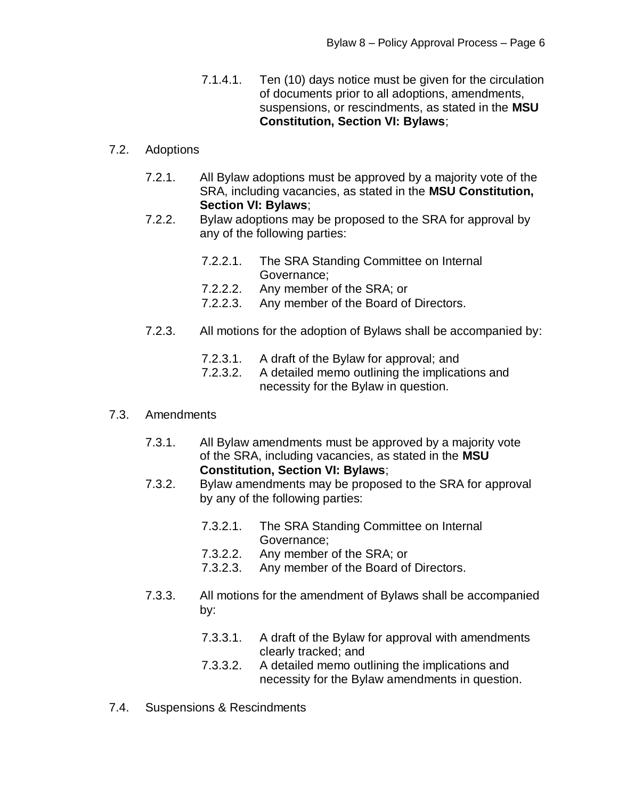7.1.4.1. Ten (10) days notice must be given for the circulation of documents prior to all adoptions, amendments, suspensions, or rescindments, as stated in the **MSU Constitution, Section VI: Bylaws**;

## 7.2. Adoptions

- 7.2.1. All Bylaw adoptions must be approved by a majority vote of the SRA, including vacancies, as stated in the **MSU Constitution, Section VI: Bylaws**;
- 7.2.2. Bylaw adoptions may be proposed to the SRA for approval by any of the following parties:
	- 7.2.2.1. The SRA Standing Committee on Internal Governance;
	- 7.2.2.2. Any member of the SRA; or
	- 7.2.2.3. Any member of the Board of Directors.
- 7.2.3. All motions for the adoption of Bylaws shall be accompanied by:
	- 7.2.3.1. A draft of the Bylaw for approval; and
	- 7.2.3.2. A detailed memo outlining the implications and necessity for the Bylaw in question.

## 7.3. Amendments

- 7.3.1. All Bylaw amendments must be approved by a majority vote of the SRA, including vacancies, as stated in the **MSU Constitution, Section VI: Bylaws**;
- 7.3.2. Bylaw amendments may be proposed to the SRA for approval by any of the following parties:
	- 7.3.2.1. The SRA Standing Committee on Internal Governance;
	- 7.3.2.2. Any member of the SRA; or
	- 7.3.2.3. Any member of the Board of Directors.
- 7.3.3. All motions for the amendment of Bylaws shall be accompanied by:
	- 7.3.3.1. A draft of the Bylaw for approval with amendments clearly tracked; and
	- 7.3.3.2. A detailed memo outlining the implications and necessity for the Bylaw amendments in question.
- 7.4. Suspensions & Rescindments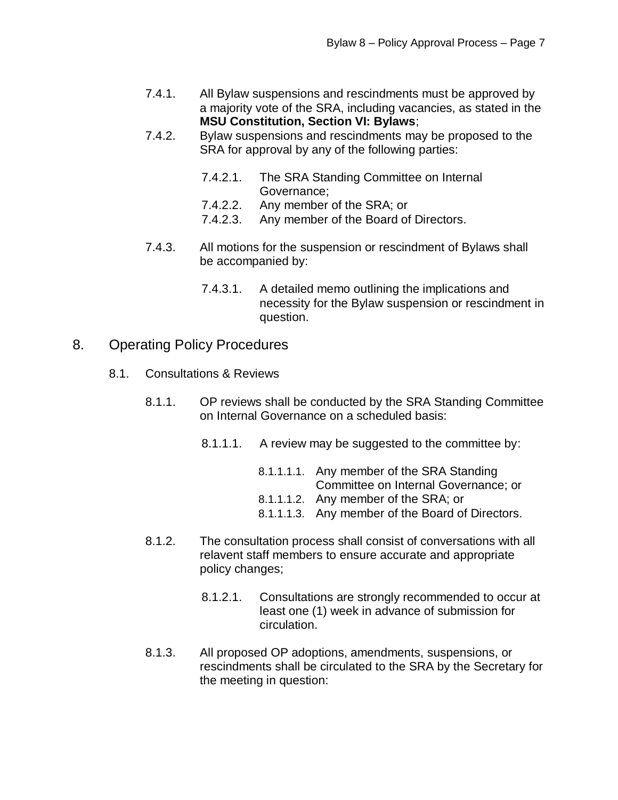- 7.4.1. All Bylaw suspensions and rescindments must be approved by a majority vote of the SRA, including vacancies, as stated in the **MSU Constitution, Section VI: Bylaws**;
- 7.4.2. Bylaw suspensions and rescindments may be proposed to the SRA for approval by any of the following parties:
	- 7.4.2.1. The SRA Standing Committee on Internal Governance;
	- 7.4.2.2. Any member of the SRA; or
	- 7.4.2.3. Any member of the Board of Directors.
- 7.4.3. All motions for the suspension or rescindment of Bylaws shall be accompanied by:
	- 7.4.3.1. A detailed memo outlining the implications and necessity for the Bylaw suspension or rescindment in question.
- 8. Operating Policy Procedures
	- 8.1. Consultations & Reviews
		- 8.1.1. OP reviews shall be conducted by the SRA Standing Committee on Internal Governance on a scheduled basis:
			- 8.1.1.1. A review may be suggested to the committee by:
				- 8.1.1.1.1. Any member of the SRA Standing Committee on Internal Governance; or
				- 8.1.1.1.2. Any member of the SRA; or
				- 8.1.1.1.3. Any member of the Board of Directors.
		- 8.1.2. The consultation process shall consist of conversations with all relavent staff members to ensure accurate and appropriate policy changes;
			- 8.1.2.1. Consultations are strongly recommended to occur at least one (1) week in advance of submission for circulation.
		- 8.1.3. All proposed OP adoptions, amendments, suspensions, or rescindments shall be circulated to the SRA by the Secretary for the meeting in question: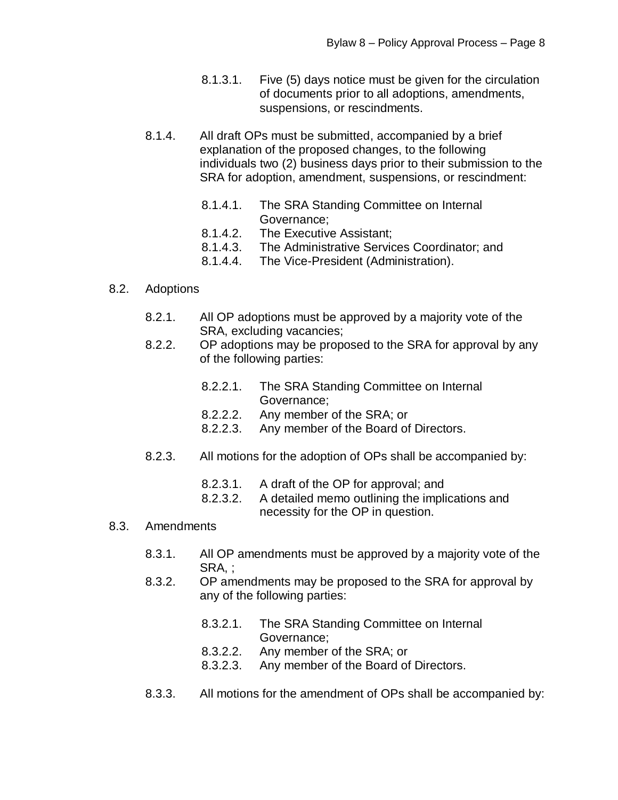- 8.1.3.1. Five (5) days notice must be given for the circulation of documents prior to all adoptions, amendments, suspensions, or rescindments.
- 8.1.4. All draft OPs must be submitted, accompanied by a brief explanation of the proposed changes, to the following individuals two (2) business days prior to their submission to the SRA for adoption, amendment, suspensions, or rescindment:
	- 8.1.4.1. The SRA Standing Committee on Internal Governance;
	- 8.1.4.2. The Executive Assistant;
	- 8.1.4.3. The Administrative Services Coordinator; and
	- 8.1.4.4. The Vice-President (Administration).

### 8.2. Adoptions

- 8.2.1. All OP adoptions must be approved by a majority vote of the SRA, excluding vacancies;
- 8.2.2. OP adoptions may be proposed to the SRA for approval by any of the following parties:
	- 8.2.2.1. The SRA Standing Committee on Internal Governance;
	- 8.2.2.2. Any member of the SRA; or
	- 8.2.2.3. Any member of the Board of Directors.
- 8.2.3. All motions for the adoption of OPs shall be accompanied by:
	- 8.2.3.1. A draft of the OP for approval; and
	- 8.2.3.2. A detailed memo outlining the implications and necessity for the OP in question.

#### 8.3. Amendments

- 8.3.1. All OP amendments must be approved by a majority vote of the SRA, ;
- 8.3.2. OP amendments may be proposed to the SRA for approval by any of the following parties:
	- 8.3.2.1. The SRA Standing Committee on Internal Governance;
	- 8.3.2.2. Any member of the SRA; or
	- 8.3.2.3. Any member of the Board of Directors.
- 8.3.3. All motions for the amendment of OPs shall be accompanied by: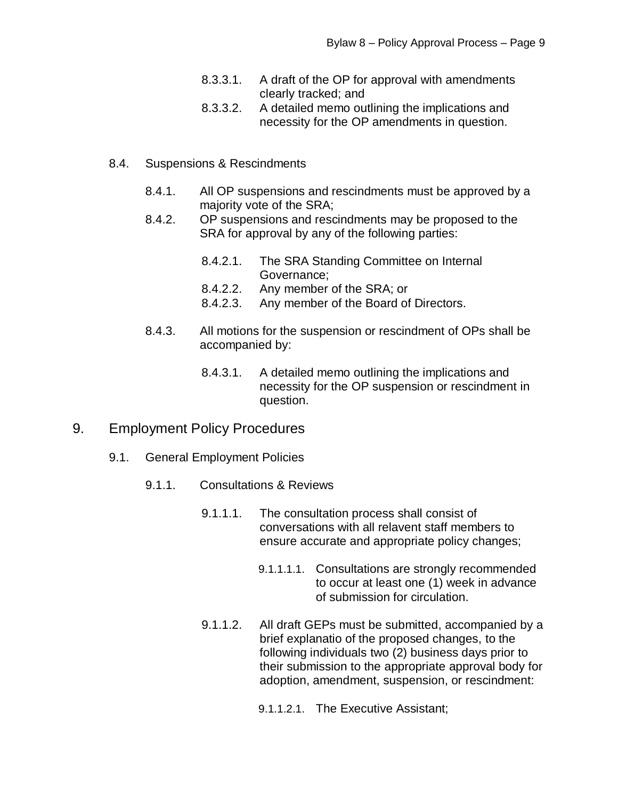- 8.3.3.1. A draft of the OP for approval with amendments clearly tracked; and
- 8.3.3.2. A detailed memo outlining the implications and necessity for the OP amendments in question.
- 8.4. Suspensions & Rescindments
	- 8.4.1. All OP suspensions and rescindments must be approved by a majority vote of the SRA;
	- 8.4.2. OP suspensions and rescindments may be proposed to the SRA for approval by any of the following parties:
		- 8.4.2.1. The SRA Standing Committee on Internal Governance;
		- 8.4.2.2. Any member of the SRA; or
		- 8.4.2.3. Any member of the Board of Directors.
	- 8.4.3. All motions for the suspension or rescindment of OPs shall be accompanied by:
		- 8.4.3.1. A detailed memo outlining the implications and necessity for the OP suspension or rescindment in question.
- 9. Employment Policy Procedures
	- 9.1. General Employment Policies
		- 9.1.1. Consultations & Reviews
			- 9.1.1.1. The consultation process shall consist of conversations with all relavent staff members to ensure accurate and appropriate policy changes;
				- 9.1.1.1.1. Consultations are strongly recommended to occur at least one (1) week in advance of submission for circulation.
			- 9.1.1.2. All draft GEPs must be submitted, accompanied by a brief explanatio of the proposed changes, to the following individuals two (2) business days prior to their submission to the appropriate approval body for adoption, amendment, suspension, or rescindment:
				- 9.1.1.2.1. The Executive Assistant;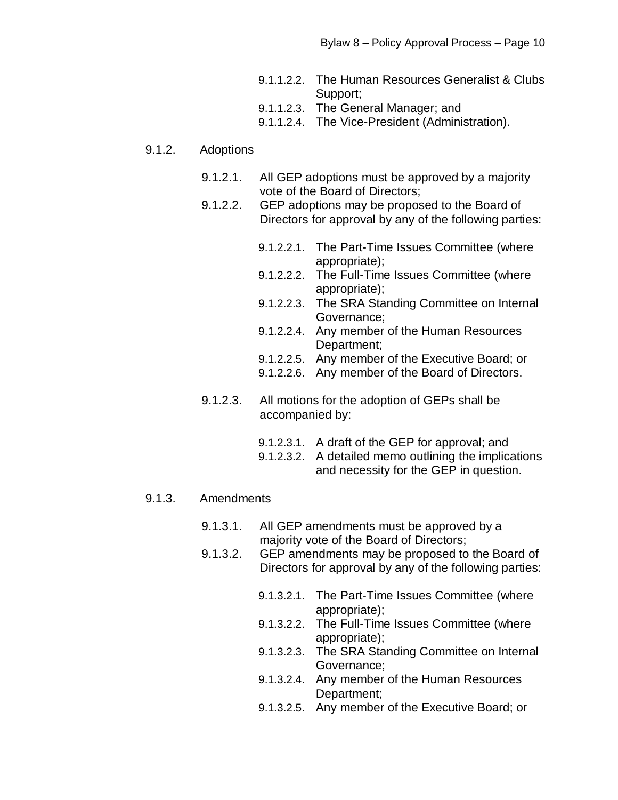- 9.1.1.2.2. The Human Resources Generalist & Clubs Support;
- 9.1.1.2.3. The General Manager; and
- 9.1.1.2.4. The Vice-President (Administration).

#### 9.1.2. Adoptions

- 9.1.2.1. All GEP adoptions must be approved by a majority vote of the Board of Directors;
- 9.1.2.2. GEP adoptions may be proposed to the Board of Directors for approval by any of the following parties:
	- 9.1.2.2.1. The Part-Time Issues Committee (where appropriate);
	- 9.1.2.2.2. The Full-Time Issues Committee (where appropriate);
	- 9.1.2.2.3. The SRA Standing Committee on Internal Governance;
	- 9.1.2.2.4. Any member of the Human Resources Department;
	- 9.1.2.2.5. Any member of the Executive Board; or
	- 9.1.2.2.6. Any member of the Board of Directors.
- 9.1.2.3. All motions for the adoption of GEPs shall be accompanied by:
	- 9.1.2.3.1. A draft of the GEP for approval; and
	- 9.1.2.3.2. A detailed memo outlining the implications and necessity for the GEP in question.

#### 9.1.3. Amendments

- 9.1.3.1. All GEP amendments must be approved by a majority vote of the Board of Directors;
- 9.1.3.2. GEP amendments may be proposed to the Board of Directors for approval by any of the following parties:
	- 9.1.3.2.1. The Part-Time Issues Committee (where appropriate);
	- 9.1.3.2.2. The Full-Time Issues Committee (where appropriate);
	- 9.1.3.2.3. The SRA Standing Committee on Internal Governance;
	- 9.1.3.2.4. Any member of the Human Resources Department;
	- 9.1.3.2.5. Any member of the Executive Board; or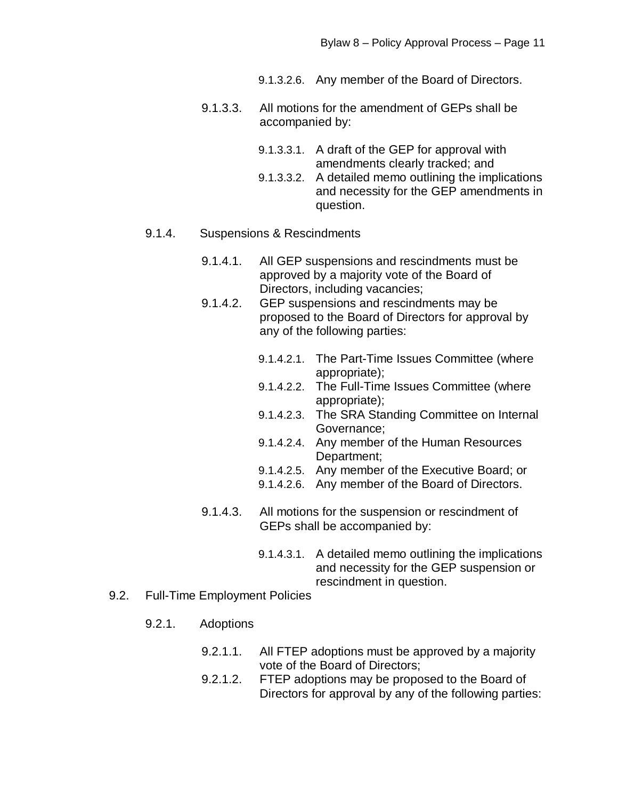9.1.3.2.6. Any member of the Board of Directors.

- 9.1.3.3. All motions for the amendment of GEPs shall be accompanied by:
	- 9.1.3.3.1. A draft of the GEP for approval with amendments clearly tracked; and
	- 9.1.3.3.2. A detailed memo outlining the implications and necessity for the GEP amendments in question.

#### 9.1.4. Suspensions & Rescindments

- 9.1.4.1. All GEP suspensions and rescindments must be approved by a majority vote of the Board of Directors, including vacancies;
- 9.1.4.2. GEP suspensions and rescindments may be proposed to the Board of Directors for approval by any of the following parties:
	- 9.1.4.2.1. The Part-Time Issues Committee (where appropriate);
	- 9.1.4.2.2. The Full-Time Issues Committee (where appropriate);
	- 9.1.4.2.3. The SRA Standing Committee on Internal Governance;
	- 9.1.4.2.4. Any member of the Human Resources Department:
	- 9.1.4.2.5. Any member of the Executive Board; or
	- 9.1.4.2.6. Any member of the Board of Directors.
- 9.1.4.3. All motions for the suspension or rescindment of GEPs shall be accompanied by:
	- 9.1.4.3.1. A detailed memo outlining the implications and necessity for the GEP suspension or rescindment in question.
- 9.2. Full-Time Employment Policies
	- 9.2.1. Adoptions
		- 9.2.1.1. All FTEP adoptions must be approved by a majority vote of the Board of Directors;
		- 9.2.1.2. FTEP adoptions may be proposed to the Board of Directors for approval by any of the following parties: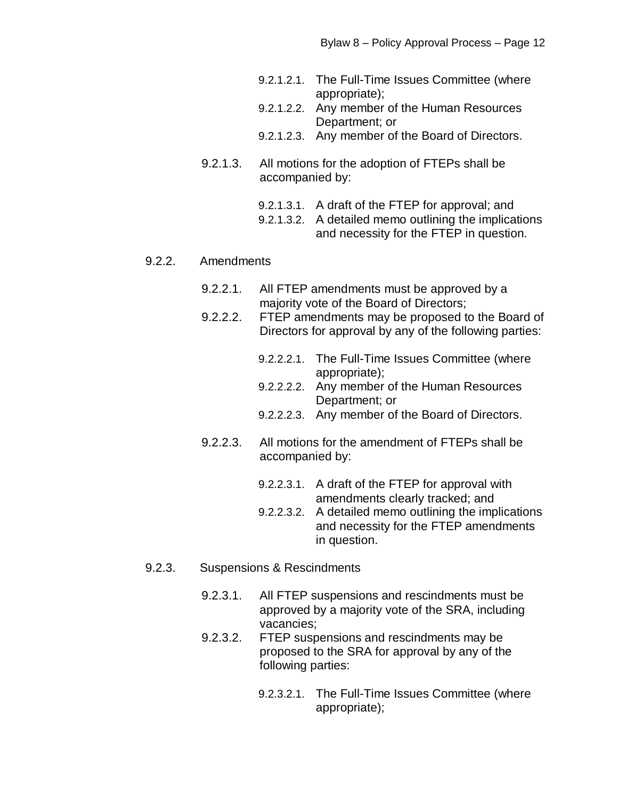- 9.2.1.2.1. The Full-Time Issues Committee (where appropriate);
- 9.2.1.2.2. Any member of the Human Resources Department; or
- 9.2.1.2.3. Any member of the Board of Directors.
- 9.2.1.3. All motions for the adoption of FTEPs shall be accompanied by:
	- 9.2.1.3.1. A draft of the FTEP for approval; and
	- 9.2.1.3.2. A detailed memo outlining the implications and necessity for the FTEP in question.

#### 9.2.2. Amendments

- 9.2.2.1. All FTEP amendments must be approved by a majority vote of the Board of Directors;
- 9.2.2.2. FTEP amendments may be proposed to the Board of Directors for approval by any of the following parties:
	- 9.2.2.2.1. The Full-Time Issues Committee (where appropriate);
	- 9.2.2.2.2. Any member of the Human Resources Department; or
	- 9.2.2.2.3. Any member of the Board of Directors.
- 9.2.2.3. All motions for the amendment of FTEPs shall be accompanied by:
	- 9.2.2.3.1. A draft of the FTEP for approval with amendments clearly tracked; and
	- 9.2.2.3.2. A detailed memo outlining the implications and necessity for the FTEP amendments in question.
- 9.2.3. Suspensions & Rescindments
	- 9.2.3.1. All FTEP suspensions and rescindments must be approved by a majority vote of the SRA, including vacancies;
	- 9.2.3.2. FTEP suspensions and rescindments may be proposed to the SRA for approval by any of the following parties:
		- 9.2.3.2.1. The Full-Time Issues Committee (where appropriate);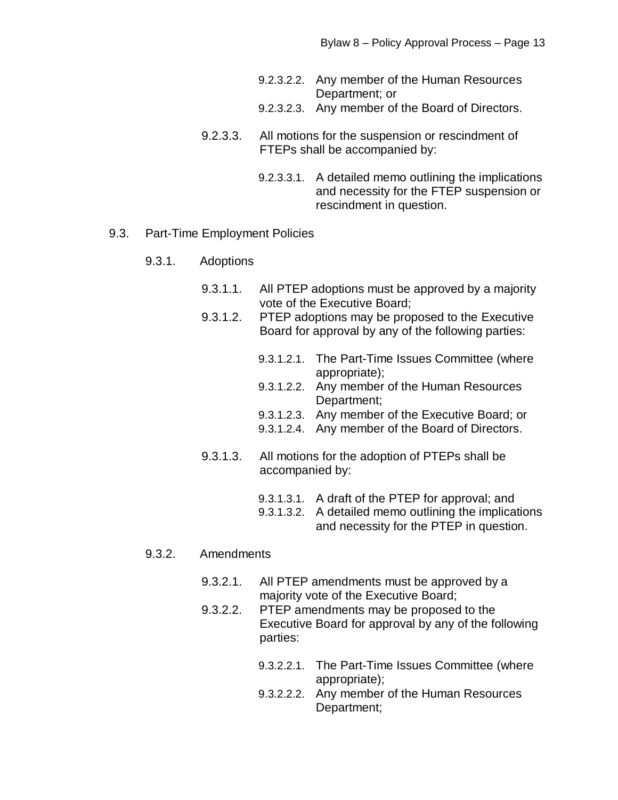| 9.2.3.2.2. Any member of the Human Resources |
|----------------------------------------------|
| Department; or                               |

- 9.2.3.2.3. Any member of the Board of Directors.
- 9.2.3.3. All motions for the suspension or rescindment of FTEPs shall be accompanied by:
	- 9.2.3.3.1. A detailed memo outlining the implications and necessity for the FTEP suspension or rescindment in question.

#### 9.3. Part-Time Employment Policies

- 9.3.1. Adoptions
	- 9.3.1.1. All PTEP adoptions must be approved by a majority vote of the Executive Board;
	- 9.3.1.2. PTEP adoptions may be proposed to the Executive Board for approval by any of the following parties:
		- 9.3.1.2.1. The Part-Time Issues Committee (where appropriate);
		- 9.3.1.2.2. Any member of the Human Resources Department;
		- 9.3.1.2.3. Any member of the Executive Board; or
		- 9.3.1.2.4. Any member of the Board of Directors.
	- 9.3.1.3. All motions for the adoption of PTEPs shall be accompanied by:
		- 9.3.1.3.1. A draft of the PTEP for approval; and
		- 9.3.1.3.2. A detailed memo outlining the implications and necessity for the PTEP in question.

#### 9.3.2. Amendments

- 9.3.2.1. All PTEP amendments must be approved by a majority vote of the Executive Board;
- 9.3.2.2. PTEP amendments may be proposed to the Executive Board for approval by any of the following parties:
	- 9.3.2.2.1. The Part-Time Issues Committee (where appropriate);
	- 9.3.2.2.2. Any member of the Human Resources Department;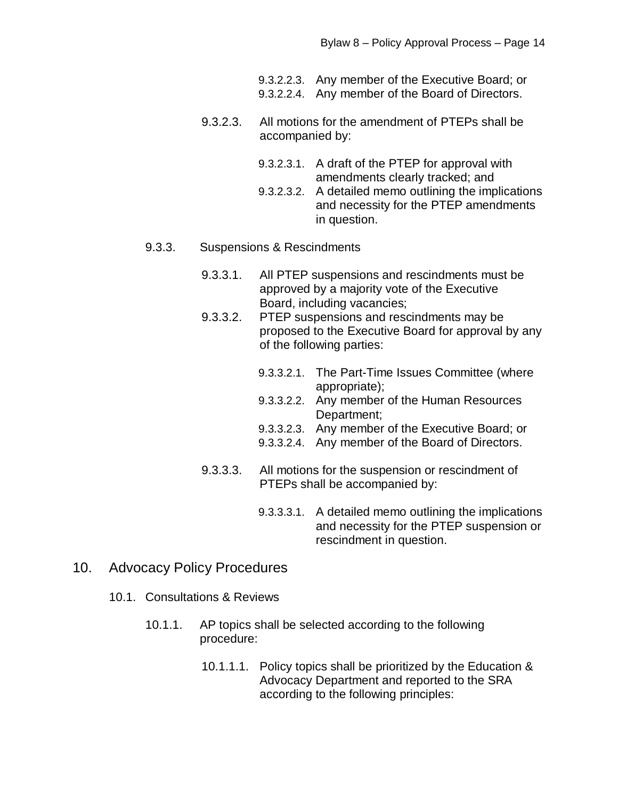- 9.3.2.2.3. Any member of the Executive Board; or
- 9.3.2.2.4. Any member of the Board of Directors.
- 9.3.2.3. All motions for the amendment of PTEPs shall be accompanied by:
	- 9.3.2.3.1. A draft of the PTEP for approval with amendments clearly tracked; and
	- 9.3.2.3.2. A detailed memo outlining the implications and necessity for the PTEP amendments in question.

#### 9.3.3. Suspensions & Rescindments

- 9.3.3.1. All PTEP suspensions and rescindments must be approved by a majority vote of the Executive Board, including vacancies;
- 9.3.3.2. PTEP suspensions and rescindments may be proposed to the Executive Board for approval by any of the following parties:
	- 9.3.3.2.1. The Part-Time Issues Committee (where appropriate);
	- 9.3.3.2.2. Any member of the Human Resources Department;
	- 9.3.3.2.3. Any member of the Executive Board; or
	- 9.3.3.2.4. Any member of the Board of Directors.
- 9.3.3.3. All motions for the suspension or rescindment of PTEPs shall be accompanied by:
	- 9.3.3.3.1. A detailed memo outlining the implications and necessity for the PTEP suspension or rescindment in question.
- 10. Advocacy Policy Procedures
	- 10.1. Consultations & Reviews
		- 10.1.1. AP topics shall be selected according to the following procedure:
			- 10.1.1.1. Policy topics shall be prioritized by the Education & Advocacy Department and reported to the SRA according to the following principles: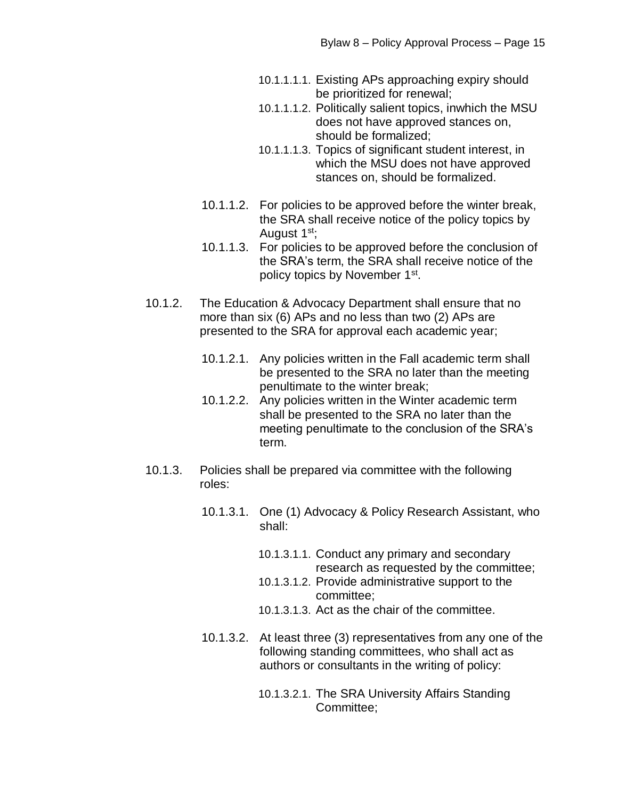- 10.1.1.1.1. Existing APs approaching expiry should be prioritized for renewal;
- 10.1.1.1.2. Politically salient topics, inwhich the MSU does not have approved stances on, should be formalized;
- 10.1.1.1.3. Topics of significant student interest, in which the MSU does not have approved stances on, should be formalized.
- 10.1.1.2. For policies to be approved before the winter break, the SRA shall receive notice of the policy topics by August 1<sup>st</sup>;
- 10.1.1.3. For policies to be approved before the conclusion of the SRA's term, the SRA shall receive notice of the policy topics by November 1<sup>st</sup>.
- 10.1.2. The Education & Advocacy Department shall ensure that no more than six (6) APs and no less than two (2) APs are presented to the SRA for approval each academic year;
	- 10.1.2.1. Any policies written in the Fall academic term shall be presented to the SRA no later than the meeting penultimate to the winter break;
	- 10.1.2.2. Any policies written in the Winter academic term shall be presented to the SRA no later than the meeting penultimate to the conclusion of the SRA's term.
- 10.1.3. Policies shall be prepared via committee with the following roles:
	- 10.1.3.1. One (1) Advocacy & Policy Research Assistant, who shall:
		- 10.1.3.1.1. Conduct any primary and secondary research as requested by the committee;
		- 10.1.3.1.2. Provide administrative support to the committee;
		- 10.1.3.1.3. Act as the chair of the committee.
	- 10.1.3.2. At least three (3) representatives from any one of the following standing committees, who shall act as authors or consultants in the writing of policy:
		- 10.1.3.2.1. The SRA University Affairs Standing Committee;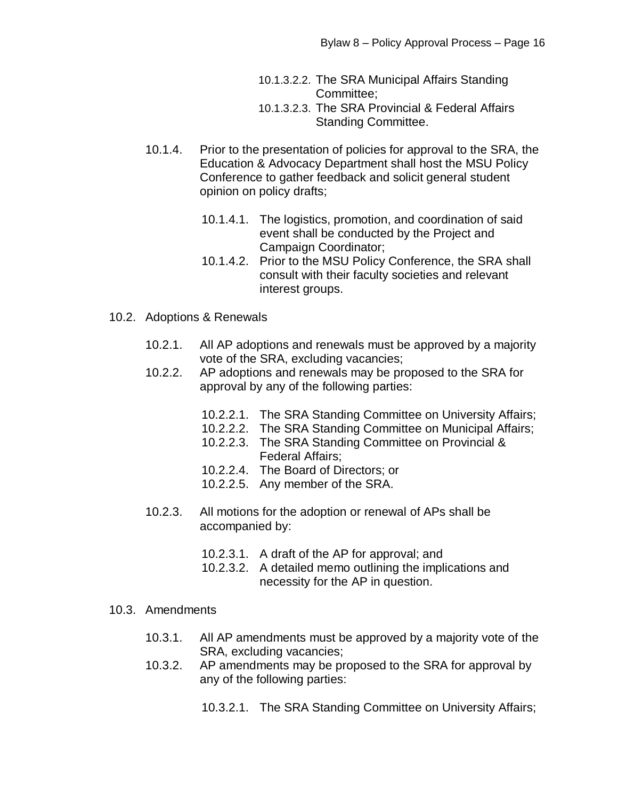10.1.3.2.2. The SRA Municipal Affairs Standing Committee;

- 10.1.3.2.3. The SRA Provincial & Federal Affairs Standing Committee.
- 10.1.4. Prior to the presentation of policies for approval to the SRA, the Education & Advocacy Department shall host the MSU Policy Conference to gather feedback and solicit general student opinion on policy drafts;
	- 10.1.4.1. The logistics, promotion, and coordination of said event shall be conducted by the Project and Campaign Coordinator;
	- 10.1.4.2. Prior to the MSU Policy Conference, the SRA shall consult with their faculty societies and relevant interest groups.
- 10.2. Adoptions & Renewals
	- 10.2.1. All AP adoptions and renewals must be approved by a majority vote of the SRA, excluding vacancies;
	- 10.2.2. AP adoptions and renewals may be proposed to the SRA for approval by any of the following parties:
		- 10.2.2.1. The SRA Standing Committee on University Affairs;
		- 10.2.2.2. The SRA Standing Committee on Municipal Affairs;
		- 10.2.2.3. The SRA Standing Committee on Provincial & Federal Affairs;
		- 10.2.2.4. The Board of Directors; or
		- 10.2.2.5. Any member of the SRA.
	- 10.2.3. All motions for the adoption or renewal of APs shall be accompanied by:
		- 10.2.3.1. A draft of the AP for approval; and
		- 10.2.3.2. A detailed memo outlining the implications and necessity for the AP in question.
- 10.3. Amendments
	- 10.3.1. All AP amendments must be approved by a majority vote of the SRA, excluding vacancies;
	- 10.3.2. AP amendments may be proposed to the SRA for approval by any of the following parties:
		- 10.3.2.1. The SRA Standing Committee on University Affairs;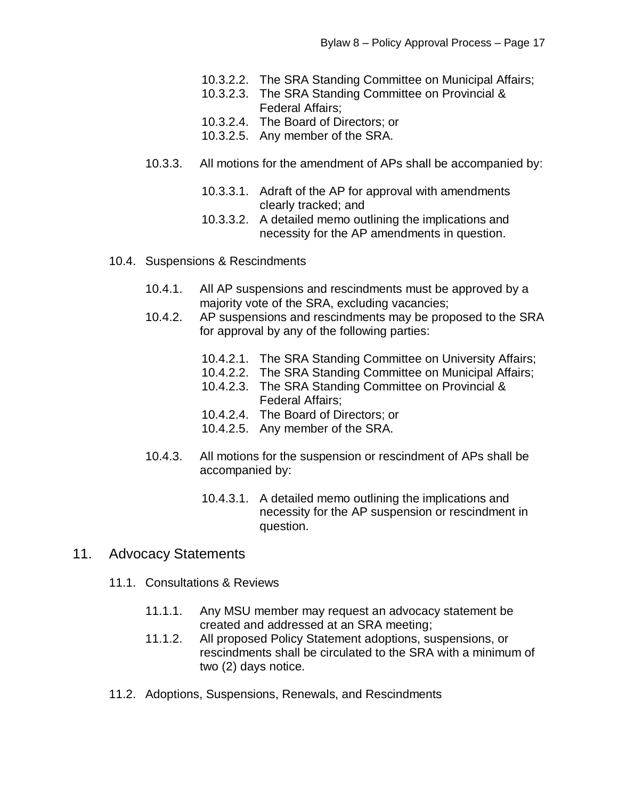- 10.3.2.2. The SRA Standing Committee on Municipal Affairs;
- 10.3.2.3. The SRA Standing Committee on Provincial & Federal Affairs;
- 10.3.2.4. The Board of Directors; or
- 10.3.2.5. Any member of the SRA.
- 10.3.3. All motions for the amendment of APs shall be accompanied by:
	- 10.3.3.1. Adraft of the AP for approval with amendments clearly tracked; and
	- 10.3.3.2. A detailed memo outlining the implications and necessity for the AP amendments in question.
- 10.4. Suspensions & Rescindments
	- 10.4.1. All AP suspensions and rescindments must be approved by a majority vote of the SRA, excluding vacancies;
	- 10.4.2. AP suspensions and rescindments may be proposed to the SRA for approval by any of the following parties:
		- 10.4.2.1. The SRA Standing Committee on University Affairs;
		- 10.4.2.2. The SRA Standing Committee on Municipal Affairs;
		- 10.4.2.3. The SRA Standing Committee on Provincial & Federal Affairs;
		- 10.4.2.4. The Board of Directors; or
		- 10.4.2.5. Any member of the SRA.
	- 10.4.3. All motions for the suspension or rescindment of APs shall be accompanied by:
		- 10.4.3.1. A detailed memo outlining the implications and necessity for the AP suspension or rescindment in question.
- 11. Advocacy Statements
	- 11.1. Consultations & Reviews
		- 11.1.1. Any MSU member may request an advocacy statement be created and addressed at an SRA meeting;
		- 11.1.2. All proposed Policy Statement adoptions, suspensions, or rescindments shall be circulated to the SRA with a minimum of two (2) days notice.
	- 11.2. Adoptions, Suspensions, Renewals, and Rescindments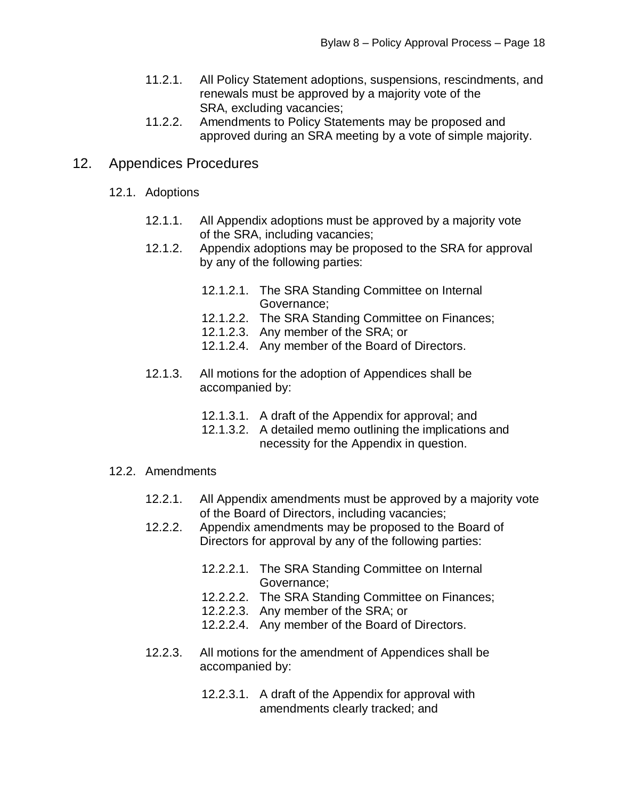- 11.2.1. All Policy Statement adoptions, suspensions, rescindments, and renewals must be approved by a majority vote of the SRA, excluding vacancies;
- 11.2.2. Amendments to Policy Statements may be proposed and approved during an SRA meeting by a vote of simple majority.

# 12. Appendices Procedures

- 12.1. Adoptions
	- 12.1.1. All Appendix adoptions must be approved by a majority vote of the SRA, including vacancies;
	- 12.1.2. Appendix adoptions may be proposed to the SRA for approval by any of the following parties:
		- 12.1.2.1. The SRA Standing Committee on Internal Governance;
		- 12.1.2.2. The SRA Standing Committee on Finances;
		- 12.1.2.3. Any member of the SRA; or
		- 12.1.2.4. Any member of the Board of Directors.
	- 12.1.3. All motions for the adoption of Appendices shall be accompanied by:
		- 12.1.3.1. A draft of the Appendix for approval; and
		- 12.1.3.2. A detailed memo outlining the implications and necessity for the Appendix in question.

## 12.2. Amendments

- 12.2.1. All Appendix amendments must be approved by a majority vote of the Board of Directors, including vacancies;
- 12.2.2. Appendix amendments may be proposed to the Board of Directors for approval by any of the following parties:
	- 12.2.2.1. The SRA Standing Committee on Internal Governance;
	- 12.2.2.2. The SRA Standing Committee on Finances;
	- 12.2.2.3. Any member of the SRA; or
	- 12.2.2.4. Any member of the Board of Directors.
- 12.2.3. All motions for the amendment of Appendices shall be accompanied by:
	- 12.2.3.1. A draft of the Appendix for approval with amendments clearly tracked; and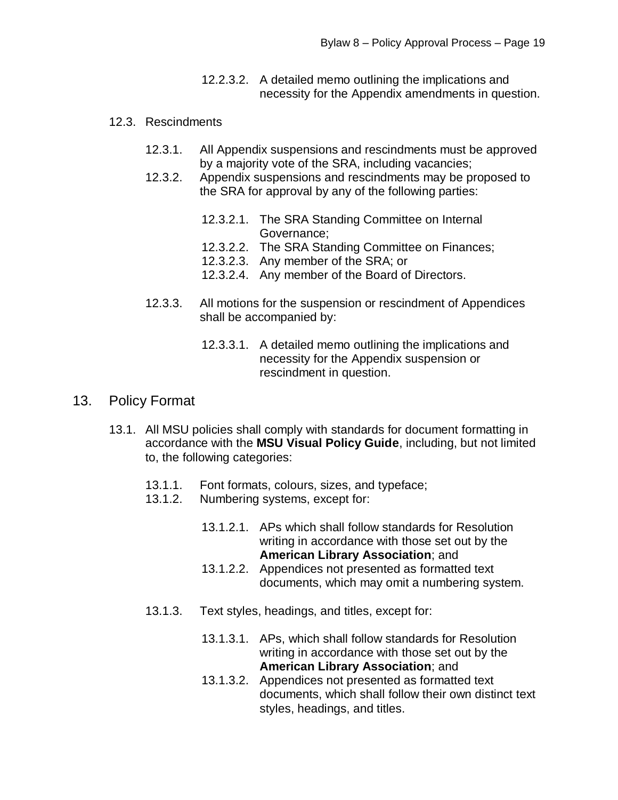- 12.2.3.2. A detailed memo outlining the implications and necessity for the Appendix amendments in question.
- 12.3. Rescindments
	- 12.3.1. All Appendix suspensions and rescindments must be approved by a majority vote of the SRA, including vacancies;
	- 12.3.2. Appendix suspensions and rescindments may be proposed to the SRA for approval by any of the following parties:
		- 12.3.2.1. The SRA Standing Committee on Internal Governance;
		- 12.3.2.2. The SRA Standing Committee on Finances;
		- 12.3.2.3. Any member of the SRA; or
		- 12.3.2.4. Any member of the Board of Directors.
	- 12.3.3. All motions for the suspension or rescindment of Appendices shall be accompanied by:
		- 12.3.3.1. A detailed memo outlining the implications and necessity for the Appendix suspension or rescindment in question.

# 13. Policy Format

- 13.1. All MSU policies shall comply with standards for document formatting in accordance with the **MSU Visual Policy Guide**, including, but not limited to, the following categories:
	- 13.1.1. Font formats, colours, sizes, and typeface;
	- 13.1.2. Numbering systems, except for:
		- 13.1.2.1. APs which shall follow standards for Resolution writing in accordance with those set out by the **American Library Association**; and
		- 13.1.2.2. Appendices not presented as formatted text documents, which may omit a numbering system.
	- 13.1.3. Text styles, headings, and titles, except for:
		- 13.1.3.1. APs, which shall follow standards for Resolution writing in accordance with those set out by the **American Library Association**; and
		- 13.1.3.2. Appendices not presented as formatted text documents, which shall follow their own distinct text styles, headings, and titles.